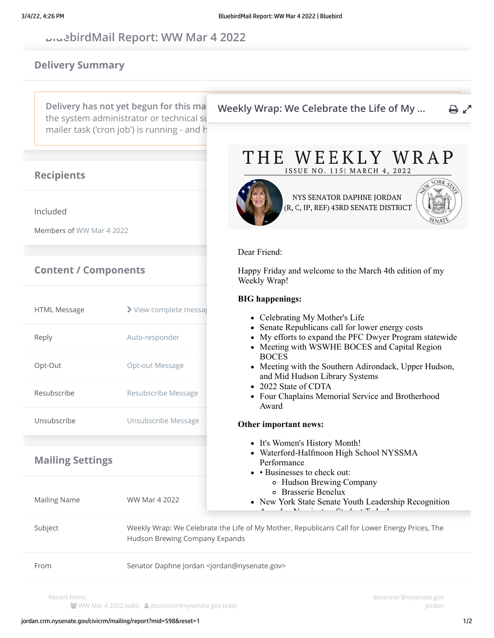# **BluebirdMail Report: WW Mar 4 2022**

## **Delivery Summary**

the system administrator or technical support contact for mailer task ('cron job') is running - and h

## **Recipients**

Included

Members of [WW Mar 4 2022](http://jordan.crm.nysenate.gov/civicrm/group/search?reset=1&force=1&context=smog&gid=689)

## **Content / Components**

| Senate Republicans call for lower energy costs<br>Auto-responder<br>Reply<br>$\bullet$<br>• Meeting with WSWHE BOCES and Capital Region<br><b>BOCES</b><br>Opt-out Message<br>Opt-Out<br>and Mid Hudson Library Systems<br>• 2022 State of CDTA<br>Resubscribe<br>Resubscribe Message<br>• Four Chaplains Memorial Service and Brotherhood<br>Award<br>Unsubscribe<br>Unsubscribe Message<br>Other important news:<br>• It's Women's History Month!<br>• Waterford-Halfmoon High School NYSSMA<br><b>Mailing Settings</b><br>Performance<br>• Businesses to check out:<br>o Hudson Brewing Company<br>o Brasserie Benelux<br><b>WW Mar 4 2022</b><br><b>Mailing Name</b><br>$1 - 3T$ $1 - 1$<br>$0.1 \times T$ $1.1$<br>Subject<br>Hudson Brewing Company Expands<br>From<br>Senator Daphne Jordan <jordan@nysenate.gov></jordan@nysenate.gov> | <b>HTML Message</b> | View complete messag                                                                           | <b>BIG</b> happenings:<br>• Celebrating My Mother's Life<br>My efforts to expand the PFC Dwyer Program statew<br>• Meeting with the Southern Adirondack, Upper Hudse<br>• New York State Senate Youth Leadership Recognitio |
|------------------------------------------------------------------------------------------------------------------------------------------------------------------------------------------------------------------------------------------------------------------------------------------------------------------------------------------------------------------------------------------------------------------------------------------------------------------------------------------------------------------------------------------------------------------------------------------------------------------------------------------------------------------------------------------------------------------------------------------------------------------------------------------------------------------------------------------------|---------------------|------------------------------------------------------------------------------------------------|-----------------------------------------------------------------------------------------------------------------------------------------------------------------------------------------------------------------------------|
|                                                                                                                                                                                                                                                                                                                                                                                                                                                                                                                                                                                                                                                                                                                                                                                                                                                |                     |                                                                                                |                                                                                                                                                                                                                             |
|                                                                                                                                                                                                                                                                                                                                                                                                                                                                                                                                                                                                                                                                                                                                                                                                                                                |                     |                                                                                                |                                                                                                                                                                                                                             |
|                                                                                                                                                                                                                                                                                                                                                                                                                                                                                                                                                                                                                                                                                                                                                                                                                                                |                     |                                                                                                |                                                                                                                                                                                                                             |
|                                                                                                                                                                                                                                                                                                                                                                                                                                                                                                                                                                                                                                                                                                                                                                                                                                                |                     |                                                                                                |                                                                                                                                                                                                                             |
|                                                                                                                                                                                                                                                                                                                                                                                                                                                                                                                                                                                                                                                                                                                                                                                                                                                |                     |                                                                                                |                                                                                                                                                                                                                             |
|                                                                                                                                                                                                                                                                                                                                                                                                                                                                                                                                                                                                                                                                                                                                                                                                                                                |                     |                                                                                                |                                                                                                                                                                                                                             |
|                                                                                                                                                                                                                                                                                                                                                                                                                                                                                                                                                                                                                                                                                                                                                                                                                                                |                     | Weekly Wrap: We Celebrate the Life of My Mother, Republicans Call for Lower Energy Prices, The |                                                                                                                                                                                                                             |
|                                                                                                                                                                                                                                                                                                                                                                                                                                                                                                                                                                                                                                                                                                                                                                                                                                                |                     |                                                                                                |                                                                                                                                                                                                                             |

Reply-to email "Senator Daphne Jordan" <jordan@nysenate.gov> Recent Items:

WW Mar 4 [2022](http://jordan.crm.nysenate.gov/civicrm/group/search?reset=1&force=1&context=smog&gid=689) ([edit](http://jordan.crm.nysenate.gov/civicrm/group?reset=1&action=update&id=689)) & [doconnor@nysenate.gov](http://jordan.crm.nysenate.gov/civicrm/contact/view?reset=1&cid=600220) [\(edit\)](http://jordan.crm.nysenate.gov/civicrm/contact/add?reset=1&action=update&cid=600220)

Delivery has not yet begun for this ma**illing. Weekly Wrap: We Celebrate the Life of My … <del>口</del> 了** 

#### WEEKLY WRAP THE ISSUE NO. 115| MARCH 4, 2022



NYS SENATOR DAPHNE JORDAN (R, C, IP, REF) 43RD SENATE DISTRICT



### Dear Friend:

Happy Friday and welcome to the March 4th edition of my Weekly Wrap!

### **BIG happenings:**

- Celebrating My Mother's Life
- Senate Republicans call for lower energy costs
- My efforts to expand the PFC Dwyer Program statewide
- Meeting with WSWHE BOCES and Capital Region BOCES
- Meeting with the Southern Adirondack, Upper Hudson, and Mid Hudson Library Systems
- 2022 State of CDTA
- Four Chaplains Memorial Service and Brotherhood Award

### **Other important news:**

- It's Women's History Month!
- Waterford-Halfmoon High School NYSSMA Performance
- Businesses to check out:
	- Hudson Brewing Company
	- Brasserie Benelux
- New York State Senate Youth Leadership Recognition
	- $\alpha_{i+1}$